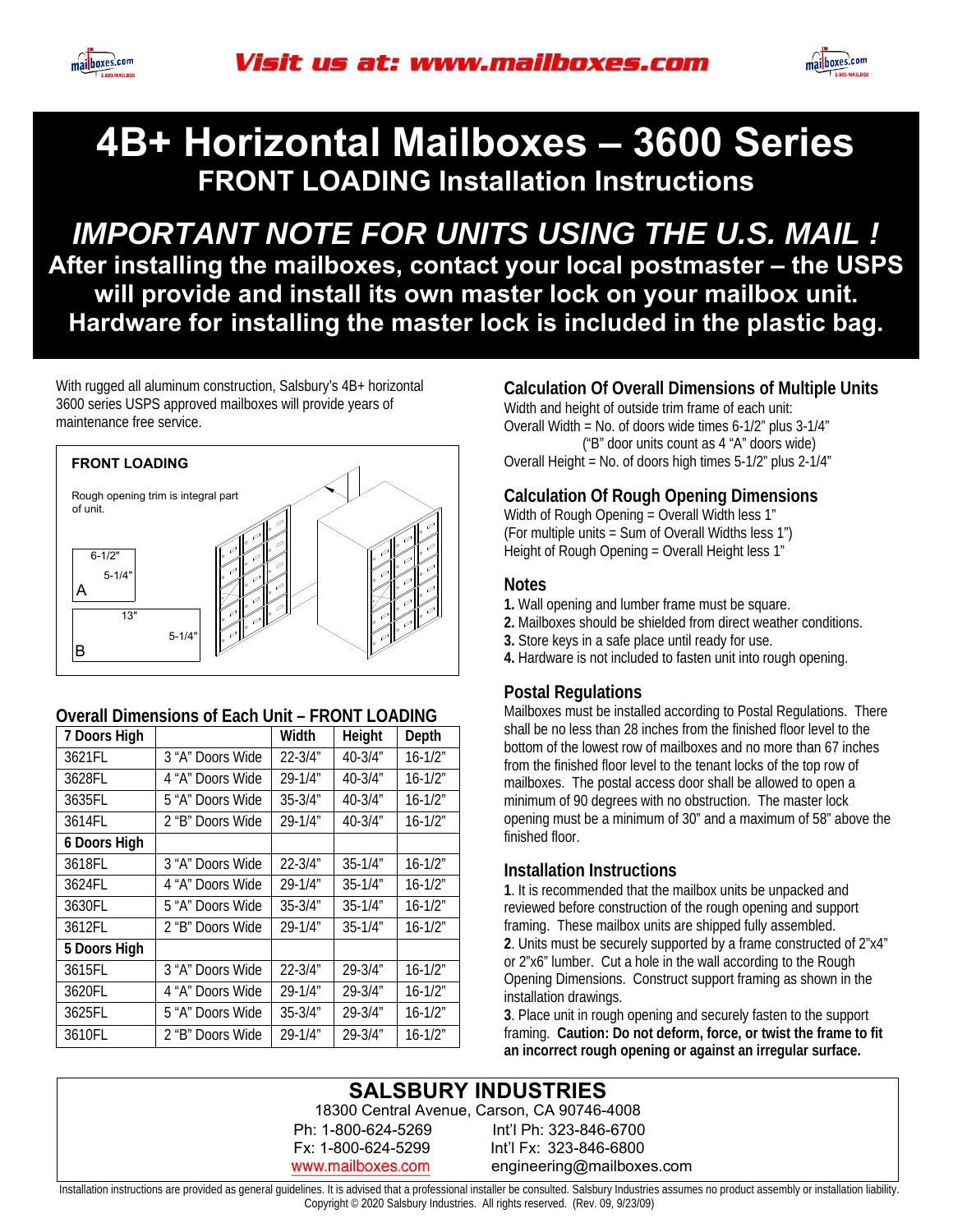



*IMPORTANT NOTE FOR UNITS USING THE U.S. MAIL !*  **After installing the mailboxes, contact your local postmaster – the USPS will provide and install its own master lock on your mailbox unit. Hardware for installing the master lock is included in the plastic bag.** 

With rugged all aluminum construction, Salsbury's 4B+ horizontal 3600 series USPS approved mailboxes will provide years of maintenance free service.



#### **Overall Dimensions of Each Unit – FRONT LOADING**

| 7 Doors High |                  | Width        | Height       | Depth       |
|--------------|------------------|--------------|--------------|-------------|
| 3621FL       | 3 "A" Doors Wide | $22 - 3/4"$  | $40 - 3/4$ " | $16 - 1/2"$ |
| 3628FL       | 4 "A" Doors Wide | $29 - 1/4"$  | $40 - 3/4$ " | $16 - 1/2"$ |
| 3635FL       | 5 "A" Doors Wide | $35 - 3/4"$  | $40 - 3/4$ " | $16 - 1/2"$ |
| 3614FL       | 2 "B" Doors Wide | $29 - 1/4"$  | 40-3/4"      | $16 - 1/2"$ |
| 6 Doors High |                  |              |              |             |
| 3618FL       | 3 "A" Doors Wide | $22 - 3/4"$  | $35 - 1/4$ " | $16 - 1/2"$ |
| 3624FL       | 4 "A" Doors Wide | 29-1/4"      | $35 - 1/4$ " | $16 - 1/2"$ |
| 3630FL       | 5 "A" Doors Wide | $35 - 3/4$ " | $35 - 1/4$ " | $16 - 1/2"$ |
| 3612FL       | 2 "B" Doors Wide | $29 - 1/4$ " | $35 - 1/4$ " | $16 - 1/2"$ |
| 5 Doors High |                  |              |              |             |
| 3615FL       | 3 "A" Doors Wide | $22 - 3/4"$  | $29 - 3/4"$  | $16 - 1/2"$ |
| 3620FL       | 4 "A" Doors Wide | $29 - 1/4"$  | $29 - 3/4"$  | $16 - 1/2"$ |
| 3625FL       | 5 "A" Doors Wide | $35 - 3/4$ " | $29 - 3/4"$  | $16 - 1/2"$ |
| 3610FL       | 2 "B" Doors Wide | $29 - 1/4$ " | $29 - 3/4"$  | $16 - 1/2"$ |

### **Calculation Of Overall Dimensions of Multiple Units**

Width and height of outside trim frame of each unit: Overall Width = No. of doors wide times 6-1/2" plus 3-1/4" ("B" door units count as 4 "A" doors wide) Overall Height = No. of doors high times 5-1/2" plus 2-1/4"

### **Calculation Of Rough Opening Dimensions**

Width of Rough Opening = Overall Width less 1" (For multiple units = Sum of Overall Widths less 1") Height of Rough Opening = Overall Height less 1"

#### **Notes**

- **1.** Wall opening and lumber frame must be square.
- **2.** Mailboxes should be shielded from direct weather conditions.
- **3.** Store keys in a safe place until ready for use.
- **4.** Hardware is not included to fasten unit into rough opening.

#### **Postal Regulations**

Mailboxes must be installed according to Postal Regulations. There shall be no less than 28 inches from the finished floor level to the bottom of the lowest row of mailboxes and no more than 67 inches from the finished floor level to the tenant locks of the top row of mailboxes. The postal access door shall be allowed to open a minimum of 90 degrees with no obstruction. The master lock opening must be a minimum of 30" and a maximum of 58" above the finished floor.

#### **Installation Instructions**

**1**. It is recommended that the mailbox units be unpacked and reviewed before construction of the rough opening and support framing. These mailbox units are shipped fully assembled. **2**. Units must be securely supported by a frame constructed of 2"x4" or 2"x6" lumber. Cut a hole in the wall according to the Rough Opening Dimensions. Construct support framing as shown in the installation drawings.

**3**. Place unit in rough opening and securely fasten to the support framing. **Caution: Do not deform, force, or twist the frame to fit an incorrect rough opening or against an irregular surface.**

### **SALSBURY INDUSTRIES**

 Ph: 1-800-624-5269 Int'l Ph: 323-846-6700 Int'l Fx: 323-846-6800 www.mailboxes.com engineering@mailboxes.com 18300 Central Avenue, Carson, CA 90746-4008

Installation instructions are provided as general guidelines. It is advised that a professional installer be consulted. Salsbury Industries assumes no product assembly or installation liability. Copyright © 2020 Salsbury Industries. All rights reserved. (Rev. 09, 9/23/09)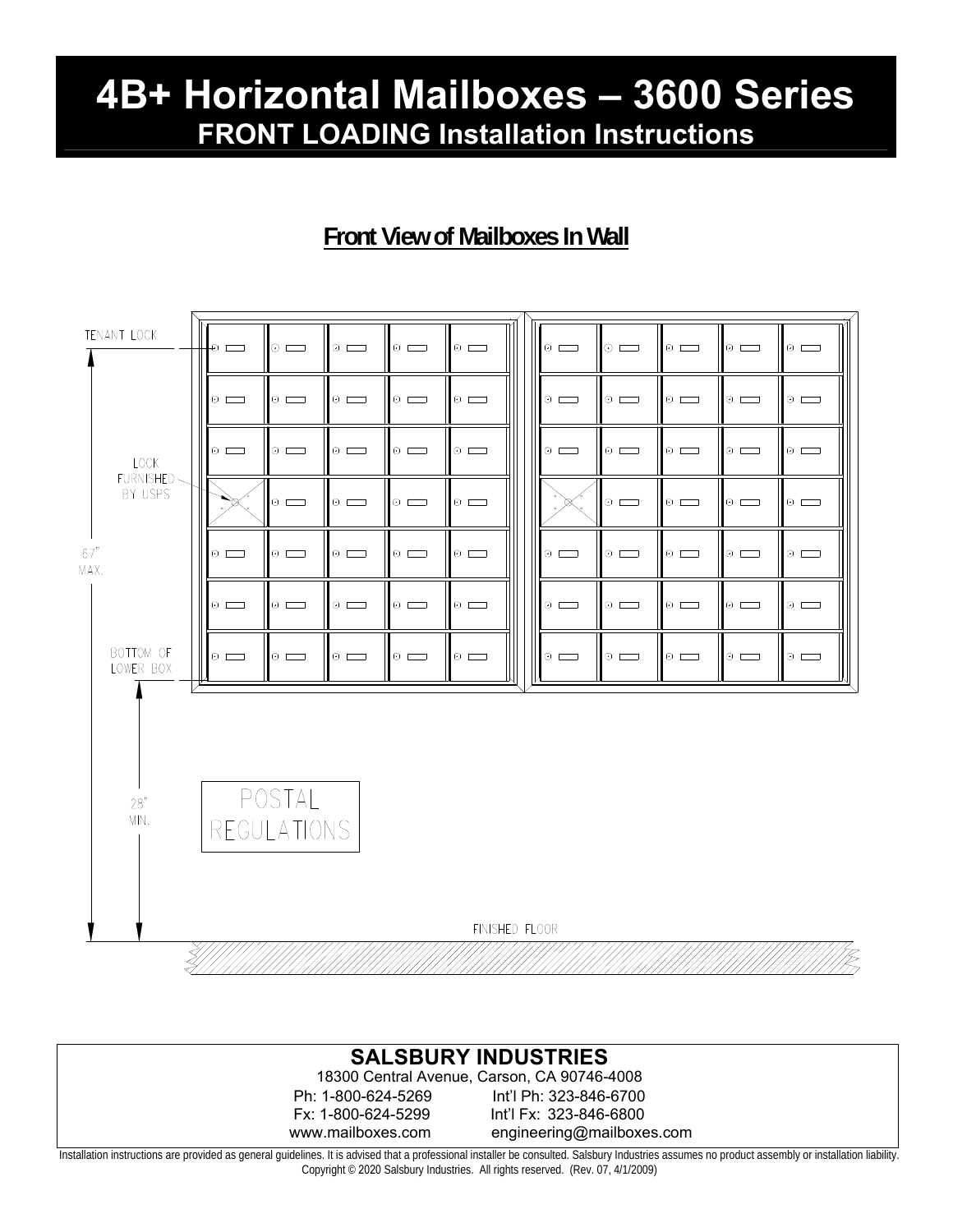## **Front View of Mailboxes In Wall**





Installation instructions are provided as general guidelines. It is advised that a professional installer be consulted. Salsbury Industries assumes no product assembly or installation liability. Copyright © 2020 Salsbury Industries. All rights reserved. (Rev. 07, 4/1/2009)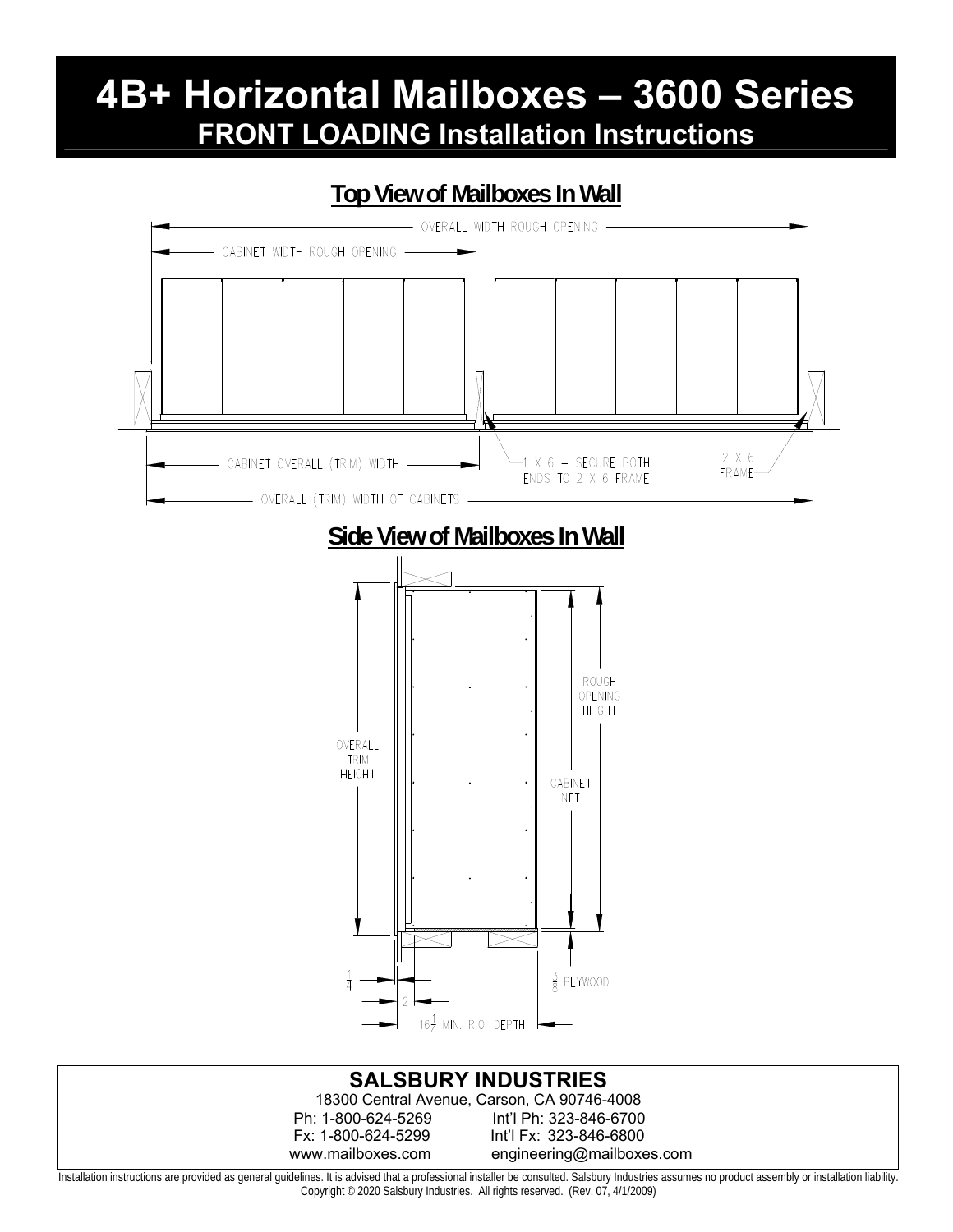### **Top View of Mailboxes In Wall**



Installation instructions are provided as general guidelines. It is advised that a professional installer be consulted. Salsbury Industries assumes no product assembly or installation liability. Copyright © 2020 Salsbury Industries. All rights reserved. (Rev. 07, 4/1/2009)